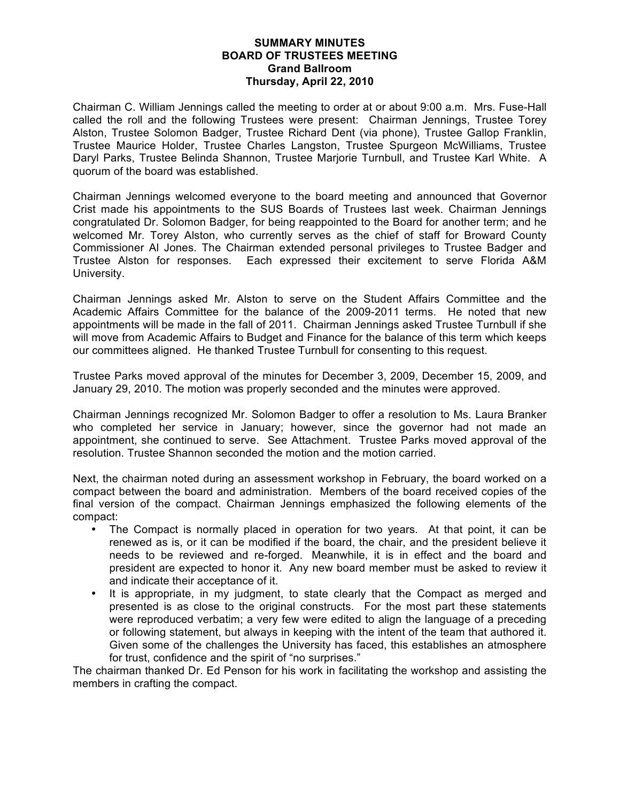#### **SUMMARY MINUTES BOARD OF TRUSTEES MEETING Grand Ballroom Thursday, April 22, 2010**

Chairman C. William Jennings called the meeting to order at or about 9:00 a.m. Mrs. Fuse-Hall called the roll and the following Trustees were present: Chairman Jennings, Trustee Torey Alston, Trustee Solomon Badger, Trustee Richard Dent (via phone), Trustee Gallop Franklin, Trustee Maurice Holder, Trustee Charles Langston, Trustee Spurgeon McWilliams, Trustee Daryl Parks, Trustee Belinda Shannon, Trustee Marjorie Turnbull, and Trustee Karl White. A quorum of the board was established.

Chairman Jennings welcomed everyone to the board meeting and announced that Governor Crist made his appointments to the SUS Boards of Trustees last week. Chairman Jennings congratulated Dr. Solomon Badger, for being reappointed to the Board for another term; and he welcomed Mr. Torey Alston, who currently serves as the chief of staff for Broward County Commissioner Al Jones. The Chairman extended personal privileges to Trustee Badger and Trustee Alston for responses. Each expressed their excitement to serve Florida A&M University.

Chairman Jennings asked Mr. Alston to serve on the Student Affairs Committee and the Academic Affairs Committee for the balance of the 2009-2011 terms. He noted that new appointments will be made in the fall of 2011. Chairman Jennings asked Trustee Turnbull if she will move from Academic Affairs to Budget and Finance for the balance of this term which keeps our committees aligned. He thanked Trustee Turnbull for consenting to this request.

Trustee Parks moved approval of the minutes for December 3, 2009, December 15, 2009, and January 29, 2010. The motion was properly seconded and the minutes were approved.

Chairman Jennings recognized Mr. Solomon Badger to offer a resolution to Ms. Laura Branker who completed her service in January; however, since the governor had not made an appointment, she continued to serve. See Attachment. Trustee Parks moved approval of the resolution. Trustee Shannon seconded the motion and the motion carried.

Next, the chairman noted during an assessment workshop in February, the board worked on a compact between the board and administration. Members of the board received copies of the final version of the compact. Chairman Jennings emphasized the following elements of the compact:

- The Compact is normally placed in operation for two years. At that point, it can be renewed as is, or it can be modified if the board, the chair, and the president believe it needs to be reviewed and re-forged. Meanwhile, it is in effect and the board and president are expected to honor it. Any new board member must be asked to review it and indicate their acceptance of it.
- It is appropriate, in my judgment, to state clearly that the Compact as merged and presented is as close to the original constructs. For the most part these statements were reproduced verbatim; a very few were edited to align the language of a preceding or following statement, but always in keeping with the intent of the team that authored it. Given some of the challenges the University has faced, this establishes an atmosphere for trust, confidence and the spirit of "no surprises."

The chairman thanked Dr. Ed Penson for his work in facilitating the workshop and assisting the members in crafting the compact.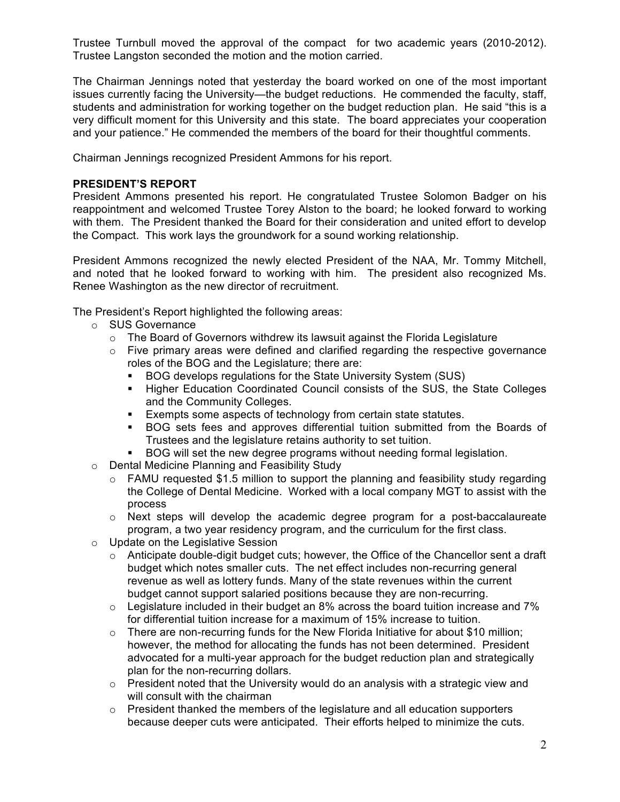Trustee Turnbull moved the approval of the compact for two academic years (2010-2012). Trustee Langston seconded the motion and the motion carried.

The Chairman Jennings noted that yesterday the board worked on one of the most important issues currently facing the University—the budget reductions. He commended the faculty, staff, students and administration for working together on the budget reduction plan. He said "this is a very difficult moment for this University and this state. The board appreciates your cooperation and your patience." He commended the members of the board for their thoughtful comments.

Chairman Jennings recognized President Ammons for his report.

## **PRESIDENT'S REPORT**

President Ammons presented his report. He congratulated Trustee Solomon Badger on his reappointment and welcomed Trustee Torey Alston to the board; he looked forward to working with them. The President thanked the Board for their consideration and united effort to develop the Compact. This work lays the groundwork for a sound working relationship.

President Ammons recognized the newly elected President of the NAA, Mr. Tommy Mitchell, and noted that he looked forward to working with him. The president also recognized Ms. Renee Washington as the new director of recruitment.

The President's Report highlighted the following areas:

- o SUS Governance
	- $\circ$  The Board of Governors withdrew its lawsuit against the Florida Legislature
	- $\circ$  Five primary areas were defined and clarified regarding the respective governance roles of the BOG and the Legislature; there are:
		- **BOG develops regulations for the State University System (SUS)**
		- Higher Education Coordinated Council consists of the SUS, the State Colleges and the Community Colleges.
		- **Exempts some aspects of technology from certain state statutes.**
		- BOG sets fees and approves differential tuition submitted from the Boards of Trustees and the legislature retains authority to set tuition.
		- BOG will set the new degree programs without needing formal legislation.
- o Dental Medicine Planning and Feasibility Study
	- $\circ$  FAMU requested \$1.5 million to support the planning and feasibility study regarding the College of Dental Medicine. Worked with a local company MGT to assist with the process
	- $\circ$  Next steps will develop the academic degree program for a post-baccalaureate program, a two year residency program, and the curriculum for the first class.
- o Update on the Legislative Session
	- $\circ$  Anticipate double-digit budget cuts; however, the Office of the Chancellor sent a draft budget which notes smaller cuts. The net effect includes non-recurring general revenue as well as lottery funds. Many of the state revenues within the current budget cannot support salaried positions because they are non-recurring.
	- $\circ$  Legislature included in their budget an 8% across the board tuition increase and 7% for differential tuition increase for a maximum of 15% increase to tuition.
	- $\circ$  There are non-recurring funds for the New Florida Initiative for about \$10 million; however, the method for allocating the funds has not been determined. President advocated for a multi-year approach for the budget reduction plan and strategically plan for the non-recurring dollars.
	- $\circ$  President noted that the University would do an analysis with a strategic view and will consult with the chairman
	- $\circ$  President thanked the members of the legislature and all education supporters because deeper cuts were anticipated. Their efforts helped to minimize the cuts.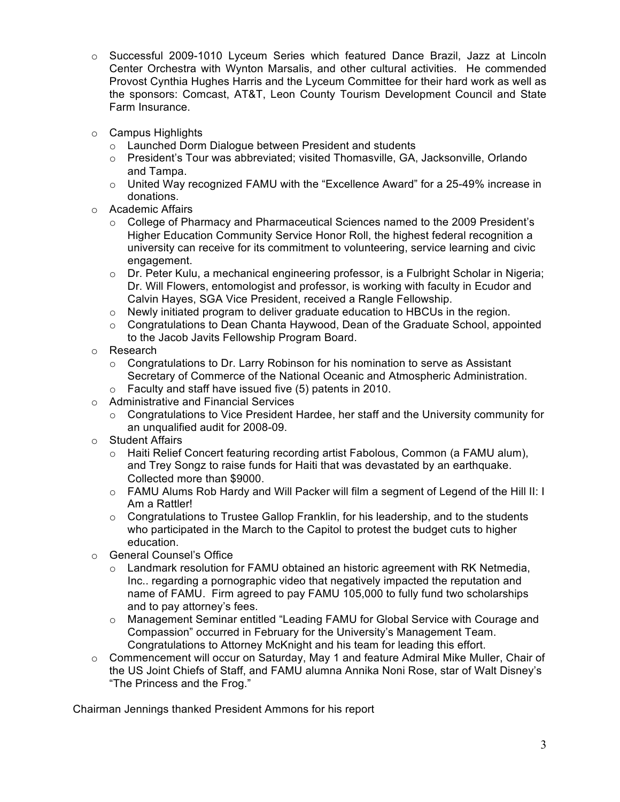- o Successful 2009-1010 Lyceum Series which featured Dance Brazil, Jazz at Lincoln Center Orchestra with Wynton Marsalis, and other cultural activities. He commended Provost Cynthia Hughes Harris and the Lyceum Committee for their hard work as well as the sponsors: Comcast, AT&T, Leon County Tourism Development Council and State Farm Insurance.
- o Campus Highlights
	- o Launched Dorm Dialogue between President and students
	- $\circ$  President's Tour was abbreviated; visited Thomasville, GA, Jacksonville, Orlando and Tampa.
	- o United Way recognized FAMU with the "Excellence Award" for a 25-49% increase in donations.
- o Academic Affairs
	- o College of Pharmacy and Pharmaceutical Sciences named to the 2009 President's Higher Education Community Service Honor Roll, the highest federal recognition a university can receive for its commitment to volunteering, service learning and civic engagement.
	- $\circ$  Dr. Peter Kulu, a mechanical engineering professor, is a Fulbright Scholar in Nigeria; Dr. Will Flowers, entomologist and professor, is working with faculty in Ecudor and Calvin Hayes, SGA Vice President, received a Rangle Fellowship.
	- o Newly initiated program to deliver graduate education to HBCUs in the region.
	- $\circ$  Congratulations to Dean Chanta Haywood, Dean of the Graduate School, appointed to the Jacob Javits Fellowship Program Board.
- o Research
	- $\circ$  Congratulations to Dr. Larry Robinson for his nomination to serve as Assistant Secretary of Commerce of the National Oceanic and Atmospheric Administration.
	- o Faculty and staff have issued five (5) patents in 2010.
- o Administrative and Financial Services
	- $\circ$  Congratulations to Vice President Hardee, her staff and the University community for an unqualified audit for 2008-09.
- o Student Affairs
	- o Haiti Relief Concert featuring recording artist Fabolous, Common (a FAMU alum), and Trey Songz to raise funds for Haiti that was devastated by an earthquake. Collected more than \$9000.
	- o FAMU Alums Rob Hardy and Will Packer will film a segment of Legend of the Hill II: I Am a Rattler!
	- o Congratulations to Trustee Gallop Franklin, for his leadership, and to the students who participated in the March to the Capitol to protest the budget cuts to higher education.
- o General Counsel's Office
	- o Landmark resolution for FAMU obtained an historic agreement with RK Netmedia, Inc.. regarding a pornographic video that negatively impacted the reputation and name of FAMU. Firm agreed to pay FAMU 105,000 to fully fund two scholarships and to pay attorney's fees.
	- o Management Seminar entitled "Leading FAMU for Global Service with Courage and Compassion" occurred in February for the University's Management Team. Congratulations to Attorney McKnight and his team for leading this effort.
- $\circ$  Commencement will occur on Saturday, May 1 and feature Admiral Mike Muller, Chair of the US Joint Chiefs of Staff, and FAMU alumna Annika Noni Rose, star of Walt Disney's "The Princess and the Frog."

Chairman Jennings thanked President Ammons for his report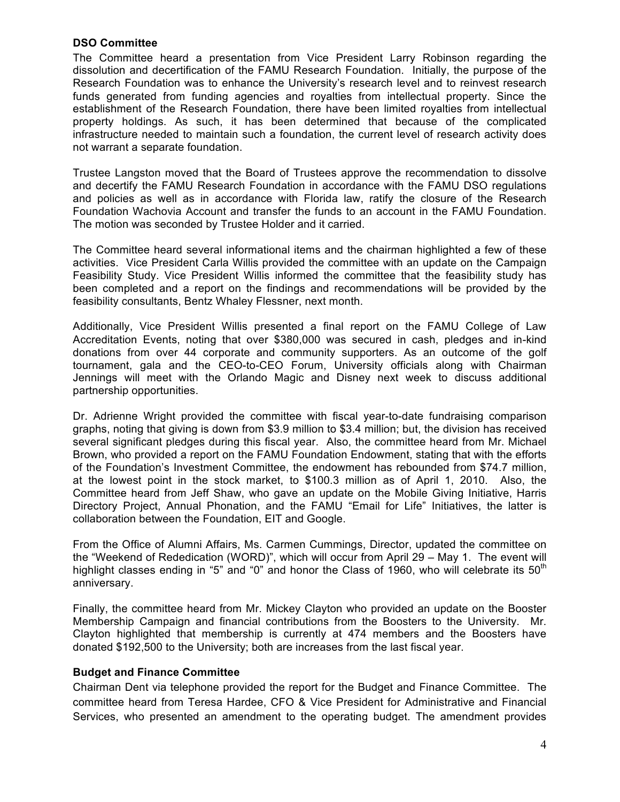#### **DSO Committee**

The Committee heard a presentation from Vice President Larry Robinson regarding the dissolution and decertification of the FAMU Research Foundation. Initially, the purpose of the Research Foundation was to enhance the University's research level and to reinvest research funds generated from funding agencies and royalties from intellectual property. Since the establishment of the Research Foundation, there have been limited royalties from intellectual property holdings. As such, it has been determined that because of the complicated infrastructure needed to maintain such a foundation, the current level of research activity does not warrant a separate foundation.

Trustee Langston moved that the Board of Trustees approve the recommendation to dissolve and decertify the FAMU Research Foundation in accordance with the FAMU DSO regulations and policies as well as in accordance with Florida law, ratify the closure of the Research Foundation Wachovia Account and transfer the funds to an account in the FAMU Foundation. The motion was seconded by Trustee Holder and it carried.

The Committee heard several informational items and the chairman highlighted a few of these activities. Vice President Carla Willis provided the committee with an update on the Campaign Feasibility Study. Vice President Willis informed the committee that the feasibility study has been completed and a report on the findings and recommendations will be provided by the feasibility consultants, Bentz Whaley Flessner, next month.

Additionally, Vice President Willis presented a final report on the FAMU College of Law Accreditation Events, noting that over \$380,000 was secured in cash, pledges and in-kind donations from over 44 corporate and community supporters. As an outcome of the golf tournament, gala and the CEO-to-CEO Forum, University officials along with Chairman Jennings will meet with the Orlando Magic and Disney next week to discuss additional partnership opportunities.

Dr. Adrienne Wright provided the committee with fiscal year-to-date fundraising comparison graphs, noting that giving is down from \$3.9 million to \$3.4 million; but, the division has received several significant pledges during this fiscal year. Also, the committee heard from Mr. Michael Brown, who provided a report on the FAMU Foundation Endowment, stating that with the efforts of the Foundation's Investment Committee, the endowment has rebounded from \$74.7 million, at the lowest point in the stock market, to \$100.3 million as of April 1, 2010. Also, the Committee heard from Jeff Shaw, who gave an update on the Mobile Giving Initiative, Harris Directory Project, Annual Phonation, and the FAMU "Email for Life" Initiatives, the latter is collaboration between the Foundation, EIT and Google.

From the Office of Alumni Affairs, Ms. Carmen Cummings, Director, updated the committee on the "Weekend of Rededication (WORD)", which will occur from April 29 – May 1. The event will highlight classes ending in "5" and "0" and honor the Class of 1960, who will celebrate its  $50<sup>th</sup>$ anniversary.

Finally, the committee heard from Mr. Mickey Clayton who provided an update on the Booster Membership Campaign and financial contributions from the Boosters to the University. Mr. Clayton highlighted that membership is currently at 474 members and the Boosters have donated \$192,500 to the University; both are increases from the last fiscal year.

## **Budget and Finance Committee**

Chairman Dent via telephone provided the report for the Budget and Finance Committee. The committee heard from Teresa Hardee, CFO & Vice President for Administrative and Financial Services, who presented an amendment to the operating budget. The amendment provides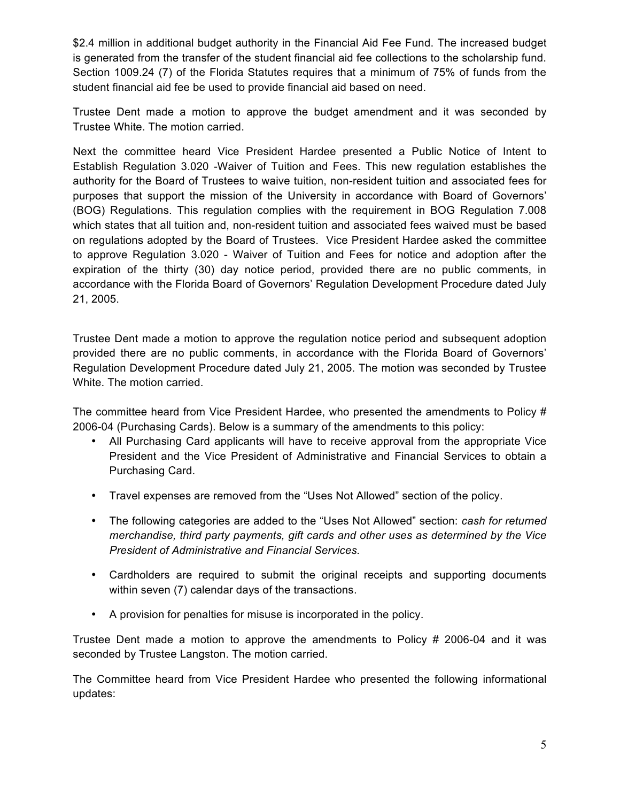\$2.4 million in additional budget authority in the Financial Aid Fee Fund. The increased budget is generated from the transfer of the student financial aid fee collections to the scholarship fund. Section 1009.24 (7) of the Florida Statutes requires that a minimum of 75% of funds from the student financial aid fee be used to provide financial aid based on need.

Trustee Dent made a motion to approve the budget amendment and it was seconded by Trustee White. The motion carried.

Next the committee heard Vice President Hardee presented a Public Notice of Intent to Establish Regulation 3.020 -Waiver of Tuition and Fees. This new regulation establishes the authority for the Board of Trustees to waive tuition, non-resident tuition and associated fees for purposes that support the mission of the University in accordance with Board of Governors' (BOG) Regulations. This regulation complies with the requirement in BOG Regulation 7.008 which states that all tuition and, non-resident tuition and associated fees waived must be based on regulations adopted by the Board of Trustees. Vice President Hardee asked the committee to approve Regulation 3.020 - Waiver of Tuition and Fees for notice and adoption after the expiration of the thirty (30) day notice period, provided there are no public comments, in accordance with the Florida Board of Governors' Regulation Development Procedure dated July 21, 2005.

Trustee Dent made a motion to approve the regulation notice period and subsequent adoption provided there are no public comments, in accordance with the Florida Board of Governors' Regulation Development Procedure dated July 21, 2005. The motion was seconded by Trustee White. The motion carried.

The committee heard from Vice President Hardee, who presented the amendments to Policy # 2006-04 (Purchasing Cards). Below is a summary of the amendments to this policy:

- All Purchasing Card applicants will have to receive approval from the appropriate Vice President and the Vice President of Administrative and Financial Services to obtain a Purchasing Card.
- Travel expenses are removed from the "Uses Not Allowed" section of the policy.
- The following categories are added to the "Uses Not Allowed" section: *cash for returned merchandise, third party payments, gift cards and other uses as determined by the Vice President of Administrative and Financial Services.*
- Cardholders are required to submit the original receipts and supporting documents within seven (7) calendar days of the transactions.
- A provision for penalties for misuse is incorporated in the policy.

Trustee Dent made a motion to approve the amendments to Policy # 2006-04 and it was seconded by Trustee Langston. The motion carried.

The Committee heard from Vice President Hardee who presented the following informational updates: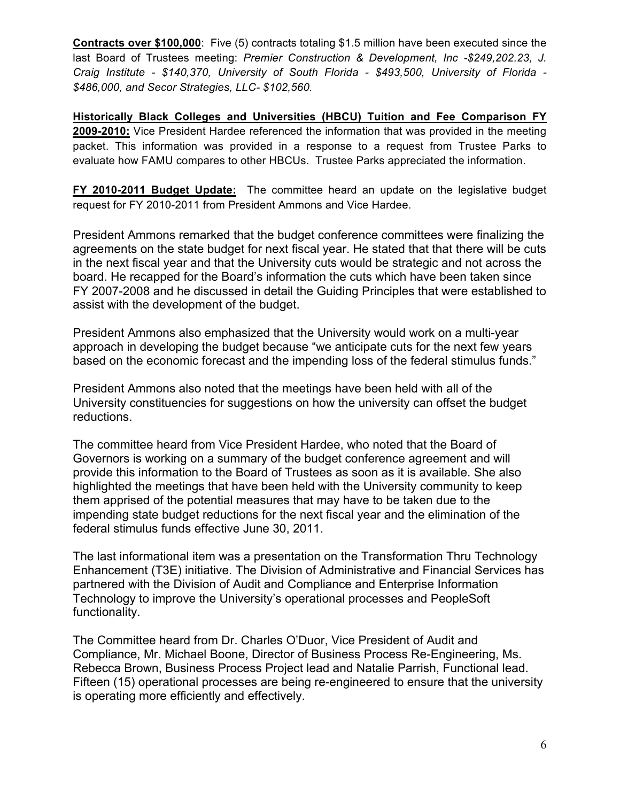**Contracts over \$100,000**: Five (5) contracts totaling \$1.5 million have been executed since the last Board of Trustees meeting: *Premier Construction & Development, Inc -\$249,202.23, J. Craig Institute - \$140,370, University of South Florida - \$493,500, University of Florida - \$486,000, and Secor Strategies, LLC- \$102,560.* 

**Historically Black Colleges and Universities (HBCU) Tuition and Fee Comparison FY 2009-2010:** Vice President Hardee referenced the information that was provided in the meeting packet. This information was provided in a response to a request from Trustee Parks to evaluate how FAMU compares to other HBCUs. Trustee Parks appreciated the information.

**FY 2010-2011 Budget Update:** The committee heard an update on the legislative budget request for FY 2010-2011 from President Ammons and Vice Hardee.

President Ammons remarked that the budget conference committees were finalizing the agreements on the state budget for next fiscal year. He stated that that there will be cuts in the next fiscal year and that the University cuts would be strategic and not across the board. He recapped for the Board's information the cuts which have been taken since FY 2007-2008 and he discussed in detail the Guiding Principles that were established to assist with the development of the budget.

President Ammons also emphasized that the University would work on a multi-year approach in developing the budget because "we anticipate cuts for the next few years based on the economic forecast and the impending loss of the federal stimulus funds."

President Ammons also noted that the meetings have been held with all of the University constituencies for suggestions on how the university can offset the budget reductions.

The committee heard from Vice President Hardee, who noted that the Board of Governors is working on a summary of the budget conference agreement and will provide this information to the Board of Trustees as soon as it is available. She also highlighted the meetings that have been held with the University community to keep them apprised of the potential measures that may have to be taken due to the impending state budget reductions for the next fiscal year and the elimination of the federal stimulus funds effective June 30, 2011.

The last informational item was a presentation on the Transformation Thru Technology Enhancement (T3E) initiative. The Division of Administrative and Financial Services has partnered with the Division of Audit and Compliance and Enterprise Information Technology to improve the University's operational processes and PeopleSoft functionality.

The Committee heard from Dr. Charles O'Duor, Vice President of Audit and Compliance, Mr. Michael Boone, Director of Business Process Re-Engineering, Ms. Rebecca Brown, Business Process Project lead and Natalie Parrish, Functional lead. Fifteen (15) operational processes are being re-engineered to ensure that the university is operating more efficiently and effectively.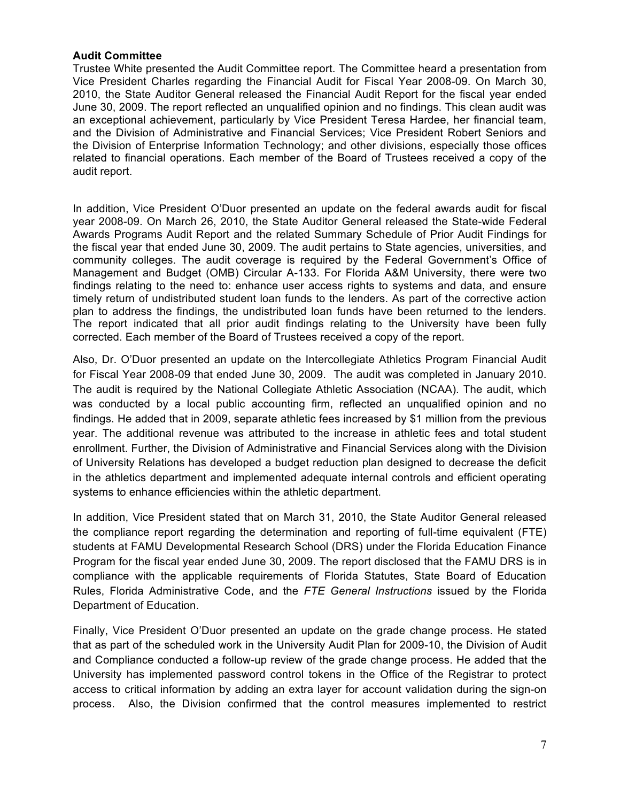#### **Audit Committee**

Trustee White presented the Audit Committee report. The Committee heard a presentation from Vice President Charles regarding the Financial Audit for Fiscal Year 2008-09. On March 30, 2010, the State Auditor General released the Financial Audit Report for the fiscal year ended June 30, 2009. The report reflected an unqualified opinion and no findings. This clean audit was an exceptional achievement, particularly by Vice President Teresa Hardee, her financial team, and the Division of Administrative and Financial Services; Vice President Robert Seniors and the Division of Enterprise Information Technology; and other divisions, especially those offices related to financial operations. Each member of the Board of Trustees received a copy of the audit report.

In addition, Vice President O'Duor presented an update on the federal awards audit for fiscal year 2008-09. On March 26, 2010, the State Auditor General released the State-wide Federal Awards Programs Audit Report and the related Summary Schedule of Prior Audit Findings for the fiscal year that ended June 30, 2009. The audit pertains to State agencies, universities, and community colleges. The audit coverage is required by the Federal Government's Office of Management and Budget (OMB) Circular A-133. For Florida A&M University, there were two findings relating to the need to: enhance user access rights to systems and data, and ensure timely return of undistributed student loan funds to the lenders. As part of the corrective action plan to address the findings, the undistributed loan funds have been returned to the lenders. The report indicated that all prior audit findings relating to the University have been fully corrected. Each member of the Board of Trustees received a copy of the report.

Also, Dr. O'Duor presented an update on the Intercollegiate Athletics Program Financial Audit for Fiscal Year 2008-09 that ended June 30, 2009. The audit was completed in January 2010. The audit is required by the National Collegiate Athletic Association (NCAA). The audit, which was conducted by a local public accounting firm, reflected an unqualified opinion and no findings. He added that in 2009, separate athletic fees increased by \$1 million from the previous year. The additional revenue was attributed to the increase in athletic fees and total student enrollment. Further, the Division of Administrative and Financial Services along with the Division of University Relations has developed a budget reduction plan designed to decrease the deficit in the athletics department and implemented adequate internal controls and efficient operating systems to enhance efficiencies within the athletic department.

In addition, Vice President stated that on March 31, 2010, the State Auditor General released the compliance report regarding the determination and reporting of full-time equivalent (FTE) students at FAMU Developmental Research School (DRS) under the Florida Education Finance Program for the fiscal year ended June 30, 2009. The report disclosed that the FAMU DRS is in compliance with the applicable requirements of Florida Statutes, State Board of Education Rules, Florida Administrative Code, and the *FTE General Instructions* issued by the Florida Department of Education.

Finally, Vice President O'Duor presented an update on the grade change process. He stated that as part of the scheduled work in the University Audit Plan for 2009-10, the Division of Audit and Compliance conducted a follow-up review of the grade change process. He added that the University has implemented password control tokens in the Office of the Registrar to protect access to critical information by adding an extra layer for account validation during the sign-on process. Also, the Division confirmed that the control measures implemented to restrict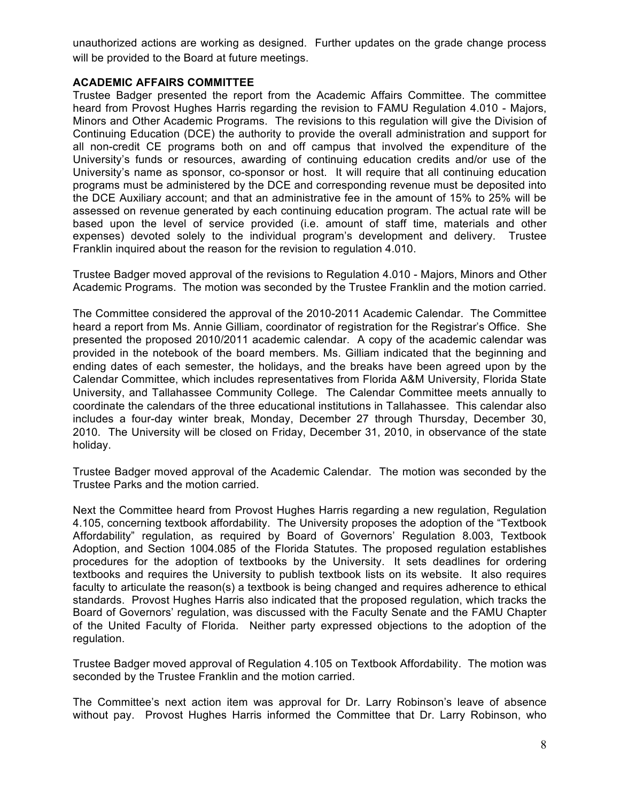unauthorized actions are working as designed. Further updates on the grade change process will be provided to the Board at future meetings.

### **ACADEMIC AFFAIRS COMMITTEE**

Trustee Badger presented the report from the Academic Affairs Committee. The committee heard from Provost Hughes Harris regarding the revision to FAMU Regulation 4.010 - Majors, Minors and Other Academic Programs. The revisions to this regulation will give the Division of Continuing Education (DCE) the authority to provide the overall administration and support for all non-credit CE programs both on and off campus that involved the expenditure of the University's funds or resources, awarding of continuing education credits and/or use of the University's name as sponsor, co-sponsor or host. It will require that all continuing education programs must be administered by the DCE and corresponding revenue must be deposited into the DCE Auxiliary account; and that an administrative fee in the amount of 15% to 25% will be assessed on revenue generated by each continuing education program. The actual rate will be based upon the level of service provided (i.e. amount of staff time, materials and other expenses) devoted solely to the individual program's development and delivery. Trustee Franklin inquired about the reason for the revision to regulation 4.010.

Trustee Badger moved approval of the revisions to Regulation 4.010 - Majors, Minors and Other Academic Programs. The motion was seconded by the Trustee Franklin and the motion carried.

The Committee considered the approval of the 2010-2011 Academic Calendar. The Committee heard a report from Ms. Annie Gilliam, coordinator of registration for the Registrar's Office. She presented the proposed 2010/2011 academic calendar. A copy of the academic calendar was provided in the notebook of the board members. Ms. Gilliam indicated that the beginning and ending dates of each semester, the holidays, and the breaks have been agreed upon by the Calendar Committee, which includes representatives from Florida A&M University, Florida State University, and Tallahassee Community College. The Calendar Committee meets annually to coordinate the calendars of the three educational institutions in Tallahassee. This calendar also includes a four-day winter break, Monday, December 27 through Thursday, December 30, 2010. The University will be closed on Friday, December 31, 2010, in observance of the state holiday.

Trustee Badger moved approval of the Academic Calendar. The motion was seconded by the Trustee Parks and the motion carried.

Next the Committee heard from Provost Hughes Harris regarding a new regulation, Regulation 4.105, concerning textbook affordability. The University proposes the adoption of the "Textbook Affordability" regulation, as required by Board of Governors' Regulation 8.003, Textbook Adoption, and Section 1004.085 of the Florida Statutes. The proposed regulation establishes procedures for the adoption of textbooks by the University. It sets deadlines for ordering textbooks and requires the University to publish textbook lists on its website. It also requires faculty to articulate the reason(s) a textbook is being changed and requires adherence to ethical standards. Provost Hughes Harris also indicated that the proposed regulation, which tracks the Board of Governors' regulation, was discussed with the Faculty Senate and the FAMU Chapter of the United Faculty of Florida. Neither party expressed objections to the adoption of the regulation.

Trustee Badger moved approval of Regulation 4.105 on Textbook Affordability. The motion was seconded by the Trustee Franklin and the motion carried.

The Committee's next action item was approval for Dr. Larry Robinson's leave of absence without pay. Provost Hughes Harris informed the Committee that Dr. Larry Robinson, who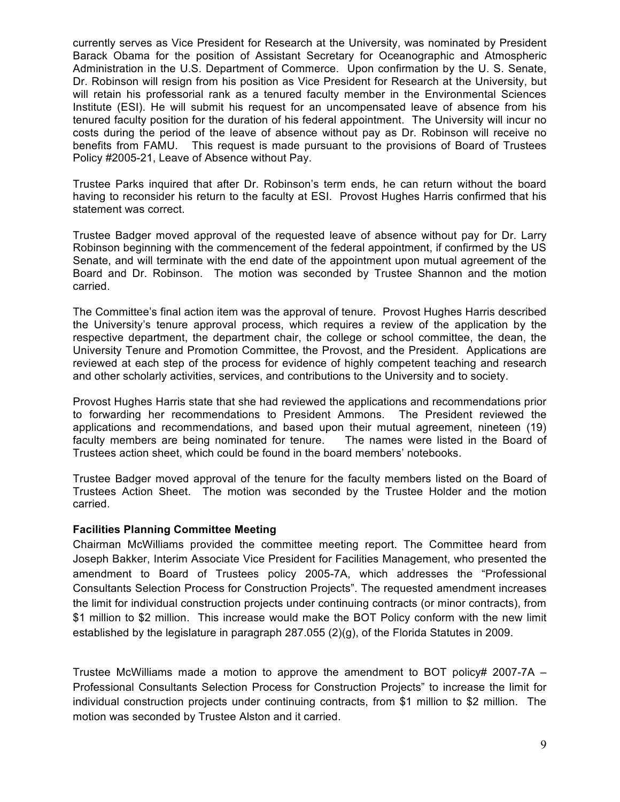currently serves as Vice President for Research at the University, was nominated by President Barack Obama for the position of Assistant Secretary for Oceanographic and Atmospheric Administration in the U.S. Department of Commerce. Upon confirmation by the U. S. Senate, Dr. Robinson will resign from his position as Vice President for Research at the University, but will retain his professorial rank as a tenured faculty member in the Environmental Sciences Institute (ESI). He will submit his request for an uncompensated leave of absence from his tenured faculty position for the duration of his federal appointment. The University will incur no costs during the period of the leave of absence without pay as Dr. Robinson will receive no benefits from FAMU. This request is made pursuant to the provisions of Board of Trustees Policy #2005-21, Leave of Absence without Pay.

Trustee Parks inquired that after Dr. Robinson's term ends, he can return without the board having to reconsider his return to the faculty at ESI. Provost Hughes Harris confirmed that his statement was correct.

Trustee Badger moved approval of the requested leave of absence without pay for Dr. Larry Robinson beginning with the commencement of the federal appointment, if confirmed by the US Senate, and will terminate with the end date of the appointment upon mutual agreement of the Board and Dr. Robinson. The motion was seconded by Trustee Shannon and the motion carried.

The Committee's final action item was the approval of tenure. Provost Hughes Harris described the University's tenure approval process, which requires a review of the application by the respective department, the department chair, the college or school committee, the dean, the University Tenure and Promotion Committee, the Provost, and the President. Applications are reviewed at each step of the process for evidence of highly competent teaching and research and other scholarly activities, services, and contributions to the University and to society.

Provost Hughes Harris state that she had reviewed the applications and recommendations prior to forwarding her recommendations to President Ammons. The President reviewed the applications and recommendations, and based upon their mutual agreement, nineteen (19) faculty members are being nominated for tenure. The names were listed in the Board of Trustees action sheet, which could be found in the board members' notebooks.

Trustee Badger moved approval of the tenure for the faculty members listed on the Board of Trustees Action Sheet. The motion was seconded by the Trustee Holder and the motion carried.

#### **Facilities Planning Committee Meeting**

Chairman McWilliams provided the committee meeting report. The Committee heard from Joseph Bakker, Interim Associate Vice President for Facilities Management, who presented the amendment to Board of Trustees policy 2005-7A, which addresses the "Professional Consultants Selection Process for Construction Projects". The requested amendment increases the limit for individual construction projects under continuing contracts (or minor contracts), from \$1 million to \$2 million. This increase would make the BOT Policy conform with the new limit established by the legislature in paragraph 287.055 (2)(g), of the Florida Statutes in 2009.

Trustee McWilliams made a motion to approve the amendment to BOT policy# 2007-7A – Professional Consultants Selection Process for Construction Projects" to increase the limit for individual construction projects under continuing contracts, from \$1 million to \$2 million. The motion was seconded by Trustee Alston and it carried.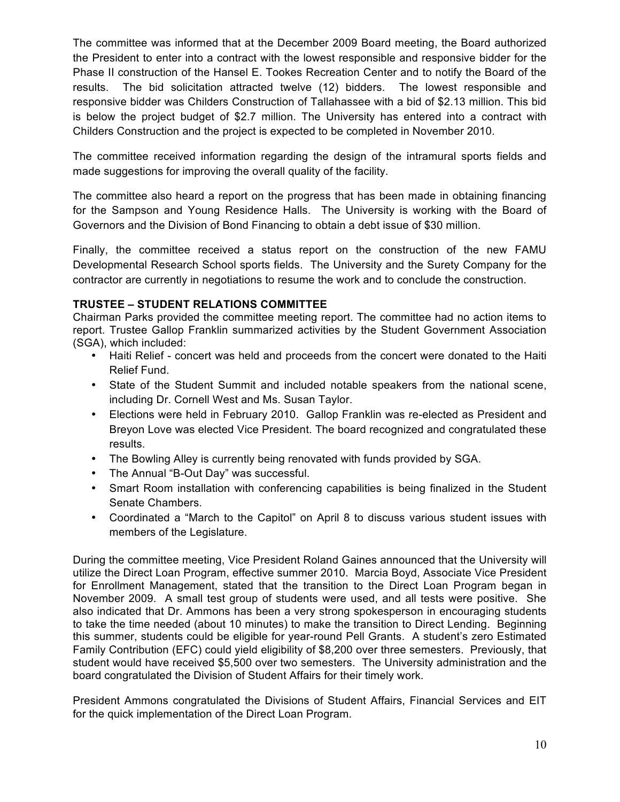The committee was informed that at the December 2009 Board meeting, the Board authorized the President to enter into a contract with the lowest responsible and responsive bidder for the Phase II construction of the Hansel E. Tookes Recreation Center and to notify the Board of the results. The bid solicitation attracted twelve (12) bidders. The lowest responsible and responsive bidder was Childers Construction of Tallahassee with a bid of \$2.13 million. This bid is below the project budget of \$2.7 million. The University has entered into a contract with Childers Construction and the project is expected to be completed in November 2010.

The committee received information regarding the design of the intramural sports fields and made suggestions for improving the overall quality of the facility.

The committee also heard a report on the progress that has been made in obtaining financing for the Sampson and Young Residence Halls. The University is working with the Board of Governors and the Division of Bond Financing to obtain a debt issue of \$30 million.

Finally, the committee received a status report on the construction of the new FAMU Developmental Research School sports fields. The University and the Surety Company for the contractor are currently in negotiations to resume the work and to conclude the construction.

# **TRUSTEE – STUDENT RELATIONS COMMITTEE**

Chairman Parks provided the committee meeting report. The committee had no action items to report. Trustee Gallop Franklin summarized activities by the Student Government Association (SGA), which included:

- Haiti Relief concert was held and proceeds from the concert were donated to the Haiti Relief Fund.
- State of the Student Summit and included notable speakers from the national scene, including Dr. Cornell West and Ms. Susan Taylor.
- Elections were held in February 2010. Gallop Franklin was re-elected as President and Breyon Love was elected Vice President. The board recognized and congratulated these results.
- The Bowling Alley is currently being renovated with funds provided by SGA.
- The Annual "B-Out Day" was successful.
- Smart Room installation with conferencing capabilities is being finalized in the Student Senate Chambers.
- Coordinated a "March to the Capitol" on April 8 to discuss various student issues with members of the Legislature.

During the committee meeting, Vice President Roland Gaines announced that the University will utilize the Direct Loan Program, effective summer 2010. Marcia Boyd, Associate Vice President for Enrollment Management, stated that the transition to the Direct Loan Program began in November 2009. A small test group of students were used, and all tests were positive. She also indicated that Dr. Ammons has been a very strong spokesperson in encouraging students to take the time needed (about 10 minutes) to make the transition to Direct Lending. Beginning this summer, students could be eligible for year-round Pell Grants. A student's zero Estimated Family Contribution (EFC) could yield eligibility of \$8,200 over three semesters. Previously, that student would have received \$5,500 over two semesters. The University administration and the board congratulated the Division of Student Affairs for their timely work.

President Ammons congratulated the Divisions of Student Affairs, Financial Services and EIT for the quick implementation of the Direct Loan Program.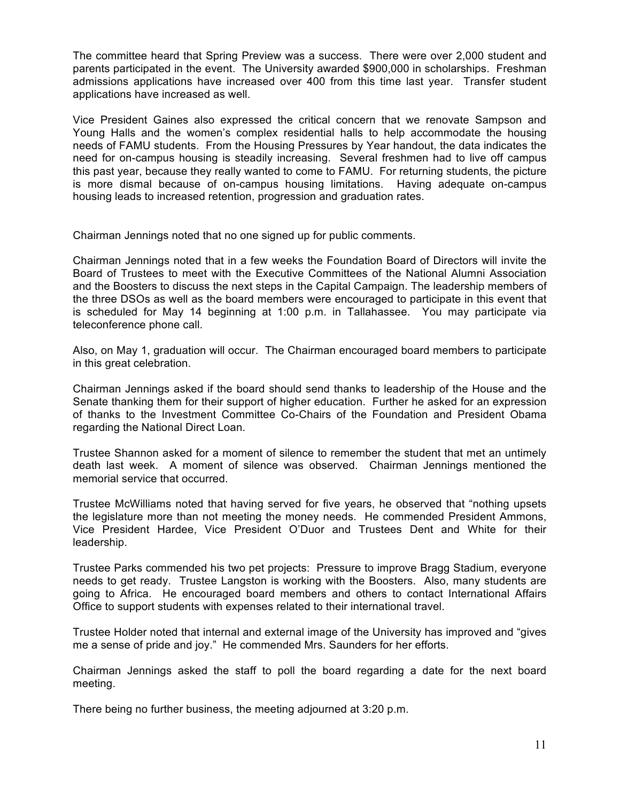The committee heard that Spring Preview was a success. There were over 2,000 student and parents participated in the event. The University awarded \$900,000 in scholarships. Freshman admissions applications have increased over 400 from this time last year. Transfer student applications have increased as well.

Vice President Gaines also expressed the critical concern that we renovate Sampson and Young Halls and the women's complex residential halls to help accommodate the housing needs of FAMU students. From the Housing Pressures by Year handout, the data indicates the need for on-campus housing is steadily increasing. Several freshmen had to live off campus this past year, because they really wanted to come to FAMU. For returning students, the picture is more dismal because of on-campus housing limitations. Having adequate on-campus housing leads to increased retention, progression and graduation rates.

Chairman Jennings noted that no one signed up for public comments.

Chairman Jennings noted that in a few weeks the Foundation Board of Directors will invite the Board of Trustees to meet with the Executive Committees of the National Alumni Association and the Boosters to discuss the next steps in the Capital Campaign. The leadership members of the three DSOs as well as the board members were encouraged to participate in this event that is scheduled for May 14 beginning at 1:00 p.m. in Tallahassee. You may participate via teleconference phone call.

Also, on May 1, graduation will occur. The Chairman encouraged board members to participate in this great celebration.

Chairman Jennings asked if the board should send thanks to leadership of the House and the Senate thanking them for their support of higher education. Further he asked for an expression of thanks to the Investment Committee Co-Chairs of the Foundation and President Obama regarding the National Direct Loan.

Trustee Shannon asked for a moment of silence to remember the student that met an untimely death last week. A moment of silence was observed. Chairman Jennings mentioned the memorial service that occurred.

Trustee McWilliams noted that having served for five years, he observed that "nothing upsets the legislature more than not meeting the money needs. He commended President Ammons, Vice President Hardee, Vice President O'Duor and Trustees Dent and White for their leadership.

Trustee Parks commended his two pet projects: Pressure to improve Bragg Stadium, everyone needs to get ready. Trustee Langston is working with the Boosters. Also, many students are going to Africa. He encouraged board members and others to contact International Affairs Office to support students with expenses related to their international travel.

Trustee Holder noted that internal and external image of the University has improved and "gives me a sense of pride and joy." He commended Mrs. Saunders for her efforts.

Chairman Jennings asked the staff to poll the board regarding a date for the next board meeting.

There being no further business, the meeting adjourned at 3:20 p.m.